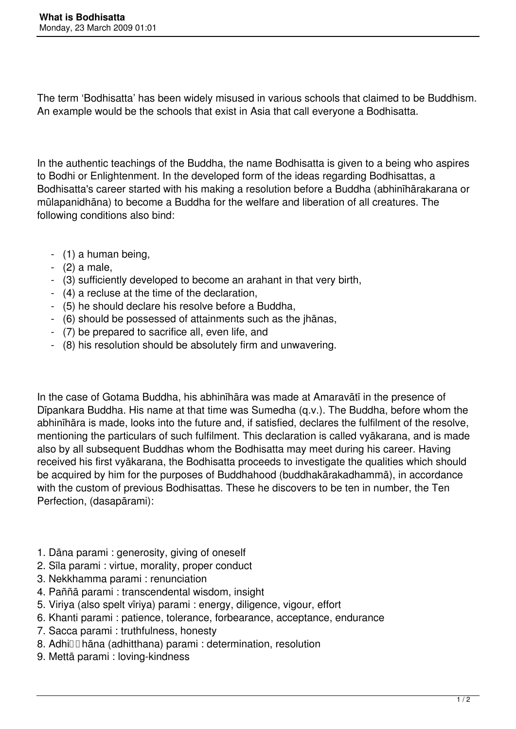The term 'Bodhisatta' has been widely misused in various schools that claimed to be Buddhism. An example would be the schools that exist in Asia that call everyone a Bodhisatta.

In the authentic teachings of the Buddha, the name Bodhisatta is given to a being who aspires to Bodhi or Enlightenment. In the developed form of the ideas regarding Bodhisattas, a Bodhisatta's career started with his making a resolution before a Buddha (abhinīhārakarana or mūlapanidhāna) to become a Buddha for the welfare and liberation of all creatures. The following conditions also bind:

- (1) a human being,
- (2) a male,
- (3) sufficiently developed to become an arahant in that very birth,
- (4) a recluse at the time of the declaration,
- (5) he should declare his resolve before a Buddha,
- (6) should be possessed of attainments such as the jhānas,
- (7) be prepared to sacrifice all, even life, and
- (8) his resolution should be absolutely firm and unwavering.

In the case of Gotama Buddha, his abhinīhāra was made at Amaravātī in the presence of Dīpankara Buddha. His name at that time was Sumedha (q.v.). The Buddha, before whom the abhinīhāra is made, looks into the future and, if satisfied, declares the fulfilment of the resolve, mentioning the particulars of such fulfilment. This declaration is called vyākarana, and is made also by all subsequent Buddhas whom the Bodhisatta may meet during his career. Having received his first vyākarana, the Bodhisatta proceeds to investigate the qualities which should be acquired by him for the purposes of Buddhahood (buddhakārakadhammā), in accordance with the custom of previous Bodhisattas. These he discovers to be ten in number, the Ten Perfection, (dasapārami):

- 1. Dāna parami : generosity, giving of oneself
- 2. Sīla parami : virtue, morality, proper conduct
- 3. Nekkhamma parami : renunciation
- 4. Paññā parami : transcendental wisdom, insight
- 5. Viriya (also spelt vīriya) parami : energy, diligence, vigour, effort
- 6. Khanti parami : patience, tolerance, forbearance, acceptance, endurance
- 7. Sacca parami : truthfulness, honesty
- 8. Adhill hāna (adhitthana) parami : determination, resolution
- 9. Mettā parami : loving-kindness